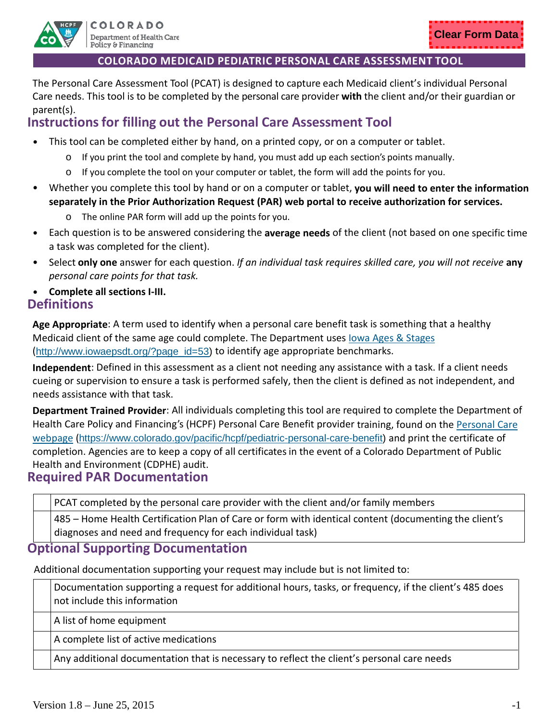

The Personal Care Assessment Tool (PCAT) is designed to capture each Medicaid client's individual Personal Care needs. This tool is to be completed by the personal care provider **with** the client and/or their guardian or parent(s).

# **Instructions for filling out the Personal Care Assessment Tool**

- This tool can be completed either by hand, on a printed copy, or on a computer or tablet.
	- $\circ$  If you print the tool and complete by hand, you must add up each section's points manually.
	- $\circ$  If you complete the tool on your computer or tablet, the form will add the points for you.
- Whether you complete this tool by hand or on a computer or tablet, **you will need to enter the information separately in the Prior Authorization Request (PAR) web portal to receive authorization for services.**
	- o The online PAR form will add up the points for you.
- Each question is to be answered considering the **average needs** of the client (not based on one specific time a task was completed for the client).
- Select **only one** answer for each question. *If an individual task requires skilled care, you will not receive* **any** *personal care points for that task.*
- **Complete all sections I-III. Definitions**

**Age Appropriate**: A term used to identify when a personal care benefit task is something that a healthy Medicaid client of the same age could complete. The Department uses [Iowa Ages & Stages](http://www.iowaepsdt.org/?page_id=53) ([http://www.iowaepsdt.org/?page\\_id=53\)](http://www.iowaepsdt.org/?page_id=53) to identify age appropriate benchmarks.

**Independent**: Defined in this assessment as a client not needing any assistance with a task. If a client needs cueing or supervision to ensure a task is performed safely, then the client is defined as not independent, and needs assistance with that task.

**Department Trained Provider**: All individuals completing this tool are required to complete the Department of Health Care Policy and Financing's (HCPF) Personal Care Benefit provider training, found on the [Personal Care](https://www.colorado.gov/pacific/hcpf/pediatric-personal-care-benefit)  [webpage](https://www.colorado.gov/pacific/hcpf/pediatric-personal-care-benefit) ([https://www.colorado.gov/pacific/hcpf/pediatric-personal-care-benefit\)](https://www.colorado.gov/pacific/hcpf/pediatric-personal-care-benefit) and print the certificate of completion. Agencies are to keep a copy of all certificates in the event of a Colorado Department of Public Health and Environment (CDPHE) audit.

# **Required PAR Documentation**

PCAT completed by the personal care provider with the client and/or family members

485 – Home Health Certification Plan of Care or form with identical content (documenting the client's diagnoses and need and frequency for each individual task)

# **Optional Supporting Documentation**

Additional documentation supporting your request may include but is not limited to:

Documentation supporting a request for additional hours, tasks, or frequency, if the client's 485 does not include this information

A list of home equipment

A complete list of active medications

Any additional documentation that is necessary to reflect the client's personal care needs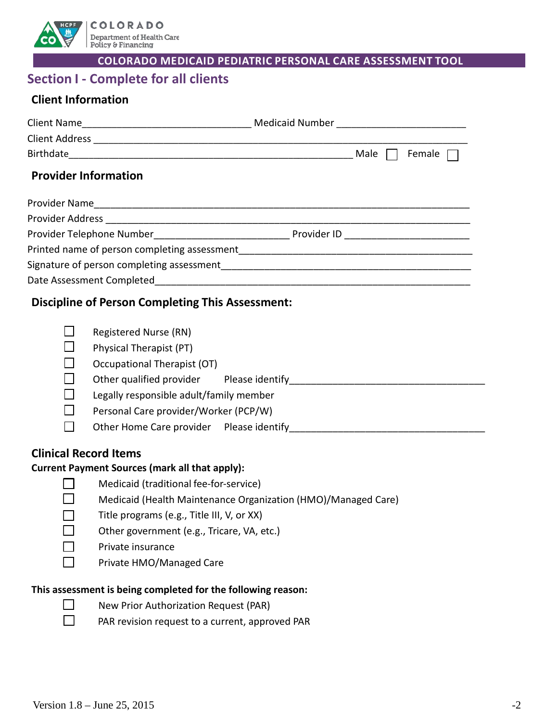

# **Section I - Complete for all clients**

# **Client Information**

|                             | Male | Female                                   |
|-----------------------------|------|------------------------------------------|
| <b>Provider Information</b> |      |                                          |
|                             |      |                                          |
|                             |      |                                          |
|                             |      | Provider ID ____________________________ |
|                             |      |                                          |
|                             |      |                                          |
|                             |      |                                          |
|                             |      |                                          |

# **Discipline of Person Completing This Assessment:**

|        | Registered Nurse (RN)                   |                 |  |
|--------|-----------------------------------------|-----------------|--|
| $\Box$ | Physical Therapist (PT)                 |                 |  |
| $\Box$ | Occupational Therapist (OT)             |                 |  |
|        | Other qualified provider                | Please identify |  |
| $\Box$ | Legally responsible adult/family member |                 |  |
| $\Box$ | Personal Care provider/Worker (PCP/W)   |                 |  |
|        | Other Home Care provider                | Please identify |  |
|        |                                         |                 |  |

# **Clinical Record Items**

# **Current Payment Sources (mark all that apply):**

| J. |  |
|----|--|
| Į. |  |

Medicaid (traditional fee-for-service)

- Medicaid (Health Maintenance Organization (HMO)/Managed Care)
- Title programs (e.g., Title III, V, or XX)
- Other government (e.g., Tricare, VA, etc.)
- Private insurance
- □ Private HMO/Managed Care

#### **This assessment is being completed for the following reason:**



- $\Box$  New Prior Authorization Request (PAR)
- $\Box$  PAR revision request to a current, approved PAR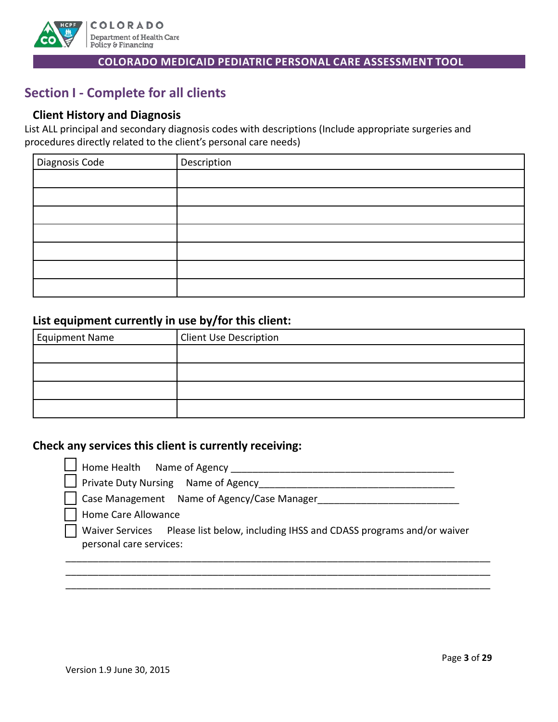

# **Section I - Complete for all clients**

# **Client History and Diagnosis**

List ALL principal and secondary diagnosis codes with descriptions (Include appropriate surgeries and procedures directly related to the client's personal care needs)

| Diagnosis Code | Description |
|----------------|-------------|
|                |             |
|                |             |
|                |             |
|                |             |
|                |             |
|                |             |
|                |             |

# **List equipment currently in use by/for this client:**

| Equipment Name | <b>Client Use Description</b> |
|----------------|-------------------------------|
|                |                               |
|                |                               |
|                |                               |
|                |                               |

# **Check any services this client is currently receiving:**

| $\Box$ Home Health Name of Agency                                                                             |
|---------------------------------------------------------------------------------------------------------------|
| $\Box$ Private Duty Nursing Name of Agency                                                                    |
|                                                                                                               |
| Home Care Allowance                                                                                           |
| Waiver Services Please list below, including IHSS and CDASS programs and/or waiver<br>personal care services: |
|                                                                                                               |

\_\_\_\_\_\_\_\_\_\_\_\_\_\_\_\_\_\_\_\_\_\_\_\_\_\_\_\_\_\_\_\_\_\_\_\_\_\_\_\_\_\_\_\_\_\_\_\_\_\_\_\_\_\_\_\_\_\_\_\_\_\_\_\_\_\_\_\_\_\_\_\_\_\_\_\_\_\_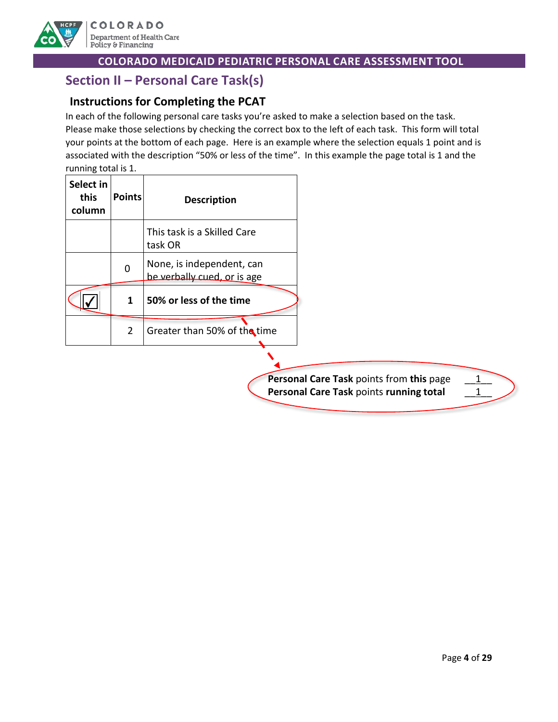

# **Section II – Personal Care Task(s)**

# **Instructions for Completing the PCAT**

In each of the following personal care tasks you're asked to make a selection based on the task. Please make those selections by checking the correct box to the left of each task. This form will total your points at the bottom of each page. Here is an example where the selection equals 1 point and is associated with the description "50% or less of the time". In this example the page total is 1 and the running total is 1.

| Select in<br>this<br>column | <b>Points</b>  | <b>Description</b>                                       |                                                                                     |
|-----------------------------|----------------|----------------------------------------------------------|-------------------------------------------------------------------------------------|
|                             |                | This task is a Skilled Care<br>task OR                   |                                                                                     |
|                             | $\mathbf 0$    | None, is independent, can<br>be verbally cued, or is age |                                                                                     |
|                             | 1              | 50% or less of the time                                  |                                                                                     |
|                             | $\overline{2}$ | Greater than 50% of the time                             |                                                                                     |
|                             |                |                                                          | Personal Care Task points from this page<br>Personal Care Task points running total |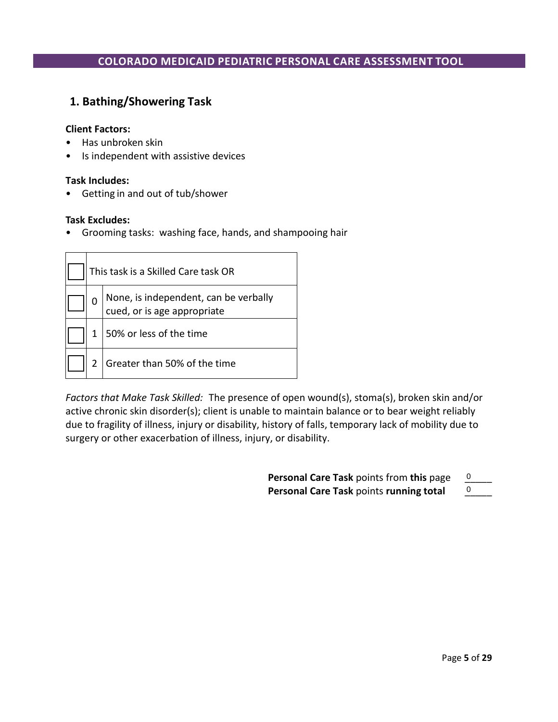# **1. Bathing/Showering Task**

#### **Client Factors:**

- Has unbroken skin
- Is independent with assistive devices

#### **Task Includes:**

• Getting in and out of tub/shower

#### **Task Excludes:**

• Grooming tasks: washing face, hands, and shampooing hair

| This task is a Skilled Care task OR |                                                                      |  |
|-------------------------------------|----------------------------------------------------------------------|--|
| 0                                   | None, is independent, can be verbally<br>cued, or is age appropriate |  |
| 1                                   | 50% or less of the time                                              |  |
| 2                                   | Greater than 50% of the time                                         |  |

*Factors that Make Task Skilled:* The presence of open wound(s), stoma(s), broken skin and/or active chronic skin disorder(s); client is unable to maintain balance or to bear weight reliably due to fragility of illness, injury or disability, history of falls, temporary lack of mobility due to surgery or other exacerbation of illness, injury, or disability.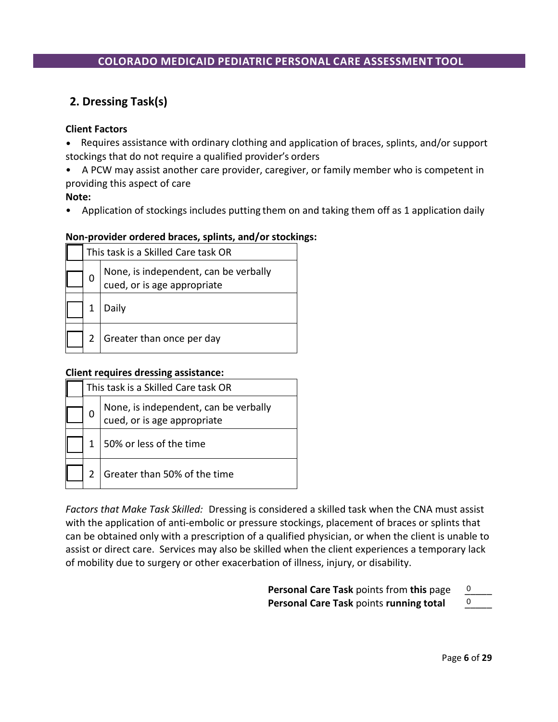# **2. Dressing Task(s)**

#### **Client Factors**

- Requires assistance with ordinary clothing and application of braces, splints, and/or support stockings that do not require a qualified provider's orders
- A PCW may assist another care provider, caregiver, or family member who is competent in providing this aspect of care

**Note:**

• Application of stockings includes putting them on and taking them off as 1 application daily

#### **Non-provider ordered braces, splints, and/or stockings:**

| This task is a Skilled Care task OR |                                                                      |  |
|-------------------------------------|----------------------------------------------------------------------|--|
|                                     | None, is independent, can be verbally<br>cued, or is age appropriate |  |
|                                     | Daily                                                                |  |
|                                     | Greater than once per day                                            |  |

#### **Client requires dressing assistance:**

|  | This task is a Skilled Care task OR                                  |  |
|--|----------------------------------------------------------------------|--|
|  | None, is independent, can be verbally<br>cued, or is age appropriate |  |
|  | 50% or less of the time                                              |  |
|  | Greater than 50% of the time                                         |  |

*Factors that Make Task Skilled:* Dressing is considered a skilled task when the CNA must assist with the application of anti-embolic or pressure stockings, placement of braces or splints that can be obtained only with a prescription of a qualified physician, or when the client is unable to assist or direct care. Services may also be skilled when the client experiences a temporary lack of mobility due to surgery or other exacerbation of illness, injury, or disability.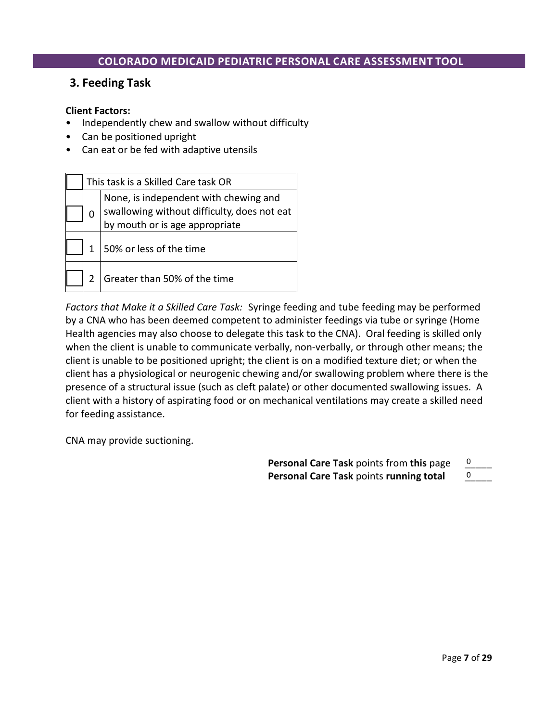# **3. Feeding Task**

#### **Client Factors:**

- Independently chew and swallow without difficulty
- Can be positioned upright
- Can eat or be fed with adaptive utensils

| This task is a Skilled Care task OR |                                                                                                                        |  |
|-------------------------------------|------------------------------------------------------------------------------------------------------------------------|--|
| 0                                   | None, is independent with chewing and<br>swallowing without difficulty, does not eat<br>by mouth or is age appropriate |  |
|                                     | 50% or less of the time                                                                                                |  |
|                                     | Greater than 50% of the time                                                                                           |  |

*Factors that Make it a Skilled Care Task:* Syringe feeding and tube feeding may be performed by a CNA who has been deemed competent to administer feedings via tube or syringe (Home Health agencies may also choose to delegate this task to the CNA). Oral feeding is skilled only when the client is unable to communicate verbally, non-verbally, or through other means; the client is unable to be positioned upright; the client is on a modified texture diet; or when the client has a physiological or neurogenic chewing and/or swallowing problem where there is the presence of a structural issue (such as cleft palate) or other documented swallowing issues. A client with a history of aspirating food or on mechanical ventilations may create a skilled need for feeding assistance.

CNA may provide suctioning.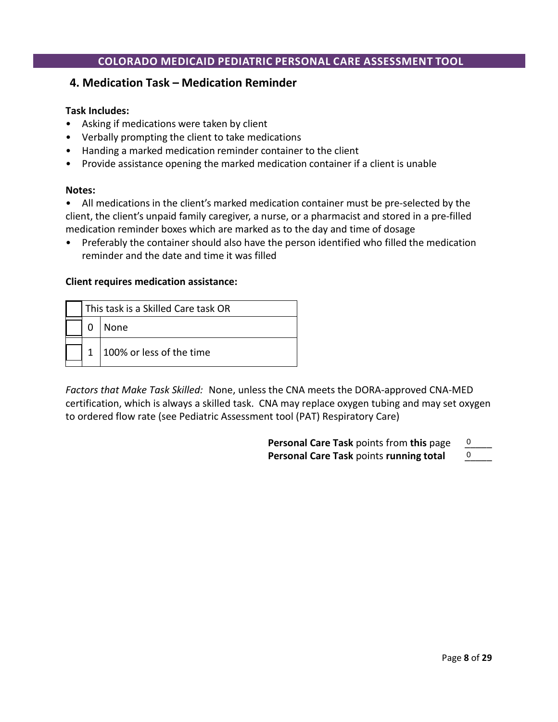## **4. Medication Task – Medication Reminder**

#### **Task Includes:**

- Asking if medications were taken by client
- Verbally prompting the client to take medications
- Handing a marked medication reminder container to the client
- Provide assistance opening the marked medication container if a client is unable

#### **Notes:**

• All medications in the client's marked medication container must be pre-selected by the client, the client's unpaid family caregiver, a nurse, or a pharmacist and stored in a pre-filled medication reminder boxes which are marked as to the day and time of dosage

• Preferably the container should also have the person identified who filled the medication reminder and the date and time it was filled

#### **Client requires medication assistance:**

| This task is a Skilled Care task OR |                          |  |
|-------------------------------------|--------------------------|--|
|                                     | None                     |  |
|                                     | 100% or less of the time |  |

*Factors that Make Task Skilled:* None, unless the CNA meets the DORA-approved CNA-MED certification, which is always a skilled task. CNA may replace oxygen tubing and may set oxygen to ordered flow rate (see Pediatric Assessment tool (PAT) Respiratory Care)

| Personal Care Task points from this page |  |
|------------------------------------------|--|
| Personal Care Task points running total  |  |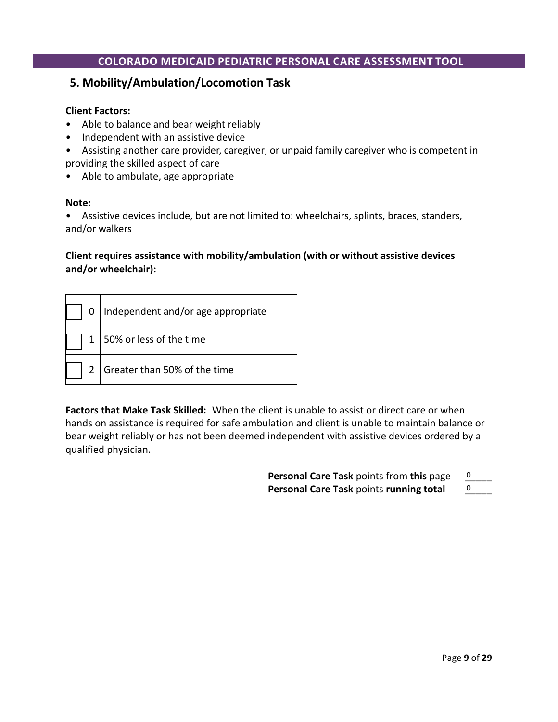# **5. Mobility/Ambulation/Locomotion Task**

#### **Client Factors:**

- Able to balance and bear weight reliably
- Independent with an assistive device
- Assisting another care provider, caregiver, or unpaid family caregiver who is competent in providing the skilled aspect of care
- Able to ambulate, age appropriate

#### **Note:**

• Assistive devices include, but are not limited to: wheelchairs, splints, braces, standers, and/or walkers

#### **Client requires assistance with mobility/ambulation (with or without assistive devices and/or wheelchair):**

|  | Independent and/or age appropriate |
|--|------------------------------------|
|  | 50% or less of the time            |
|  | Greater than 50% of the time       |

**Factors that Make Task Skilled:**When the client is unable to assist or direct care or when hands on assistance is required for safe ambulation and client is unable to maintain balance or bear weight reliably or has not been deemed independent with assistive devices ordered by a qualified physician.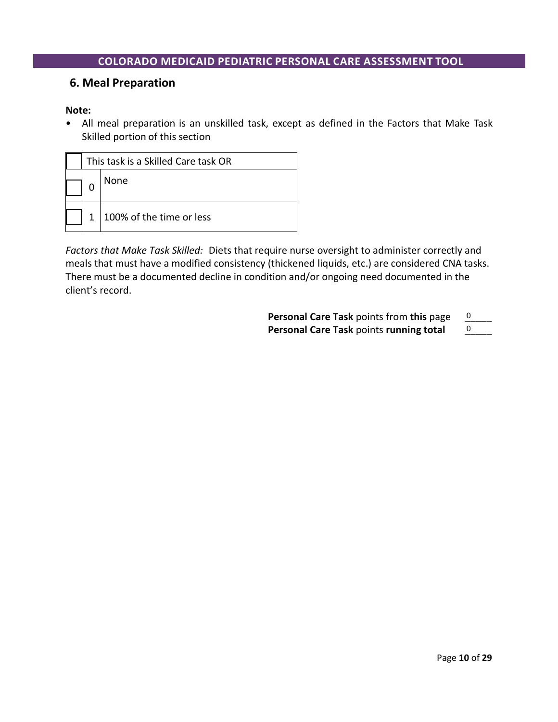## **6. Meal Preparation**

#### **Note:**

• All meal preparation is an unskilled task, except as defined in the Factors that Make Task Skilled portion of this section

| This task is a Skilled Care task OR |                          |
|-------------------------------------|--------------------------|
|                                     | None                     |
|                                     | 100% of the time or less |

*Factors that Make Task Skilled:* Diets that require nurse oversight to administer correctly and meals that must have a modified consistency (thickened liquids, etc.) are considered CNA tasks. There must be a documented decline in condition and/or ongoing need documented in the client's record.

| <b>Personal Care Task</b> points from this page |  |
|-------------------------------------------------|--|
| Personal Care Task points running total         |  |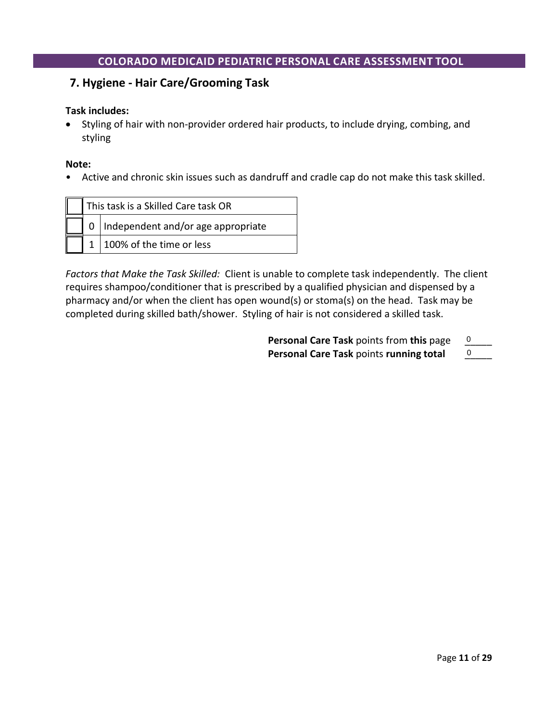# **7. Hygiene - Hair Care/Grooming Task**

#### **Task includes:**

• Styling of hair with non-provider ordered hair products, to include drying, combing, and styling

**Note:**

• Active and chronic skin issues such as dandruff and cradle cap do not make this task skilled.

| This task is a Skilled Care task OR |                                        |  |
|-------------------------------------|----------------------------------------|--|
|                                     | 0   Independent and/or age appropriate |  |
|                                     | $1 \mid 100\%$ of the time or less     |  |

*Factors that Make the Task Skilled:* Client is unable to complete task independently. The client requires shampoo/conditioner that is prescribed by a qualified physician and dispensed by a pharmacy and/or when the client has open wound(s) or stoma(s) on the head. Task may be completed during skilled bath/shower. Styling of hair is not considered a skilled task.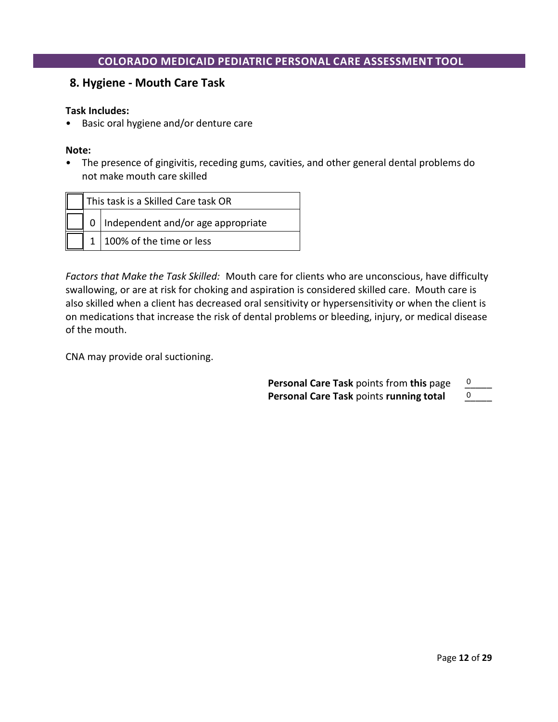## **8. Hygiene - Mouth Care Task**

#### **Task Includes:**

• Basic oral hygiene and/or denture care

#### **Note:**

• The presence of gingivitis, receding gums, cavities, and other general dental problems do not make mouth care skilled

| This task is a Skilled Care task OR |                                        |
|-------------------------------------|----------------------------------------|
|                                     | 0   Independent and/or age appropriate |
|                                     | 100% of the time or less               |

*Factors that Make the Task Skilled:* Mouth care for clients who are unconscious, have difficulty swallowing, or are at risk for choking and aspiration is considered skilled care. Mouth care is also skilled when a client has decreased oral sensitivity or hypersensitivity or when the client is on medications that increase the risk of dental problems or bleeding, injury, or medical disease of the mouth.

CNA may provide oral suctioning.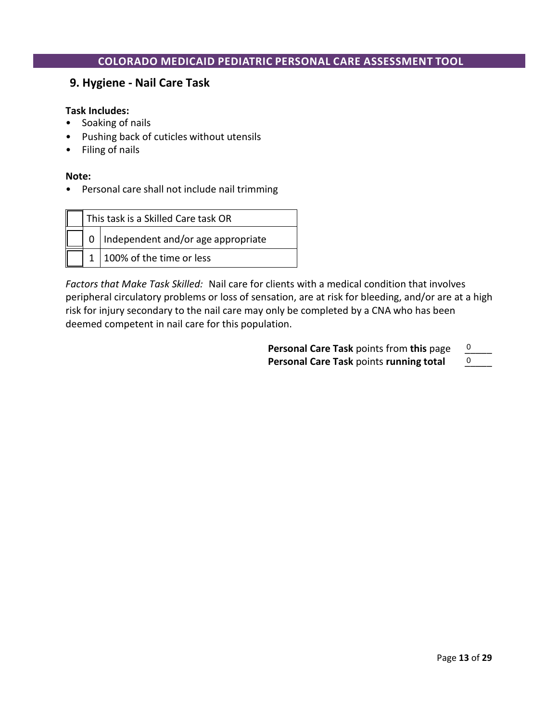## **9. Hygiene - Nail Care Task**

#### **Task Includes:**

- Soaking of nails
- Pushing back of cuticles without utensils
- Filing of nails

#### **Note:**

• Personal care shall not include nail trimming

| This task is a Skilled Care task OR |                                          |
|-------------------------------------|------------------------------------------|
|                                     | $0$   Independent and/or age appropriate |
|                                     | 100% of the time or less                 |

*Factors that Make Task Skilled:* Nail care for clients with a medical condition that involves peripheral circulatory problems or loss of sensation, are at risk for bleeding, and/or are at a high risk for injury secondary to the nail care may only be completed by a CNA who has been deemed competent in nail care for this population.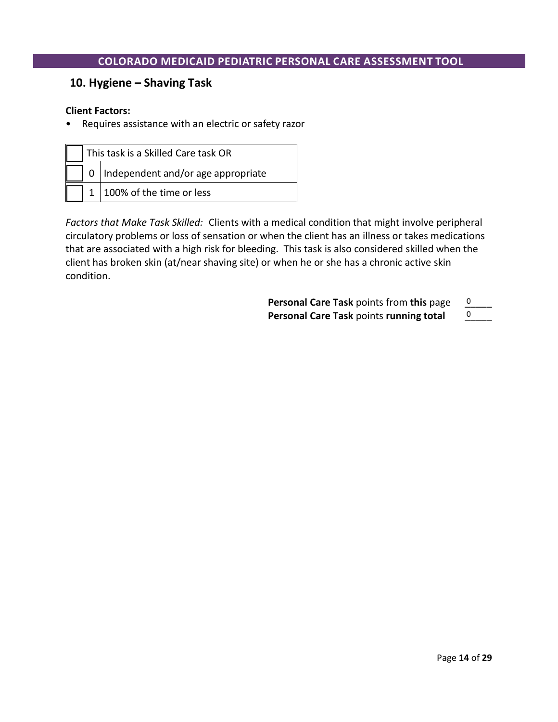# **10. Hygiene – Shaving Task**

#### **Client Factors:**

• Requires assistance with an electric or safety razor

| This task is a Skilled Care task OR |                                        |
|-------------------------------------|----------------------------------------|
|                                     | 0   Independent and/or age appropriate |
|                                     | 1100% of the time or less              |

*Factors that Make Task Skilled:* Clients with a medical condition that might involve peripheral circulatory problems or loss of sensation or when the client has an illness or takes medications that are associated with a high risk for bleeding. This task is also considered skilled when the client has broken skin (at/near shaving site) or when he or she has a chronic active skin condition.

| <b>Personal Care Task points from this page</b> |  |
|-------------------------------------------------|--|
| Personal Care Task points running total         |  |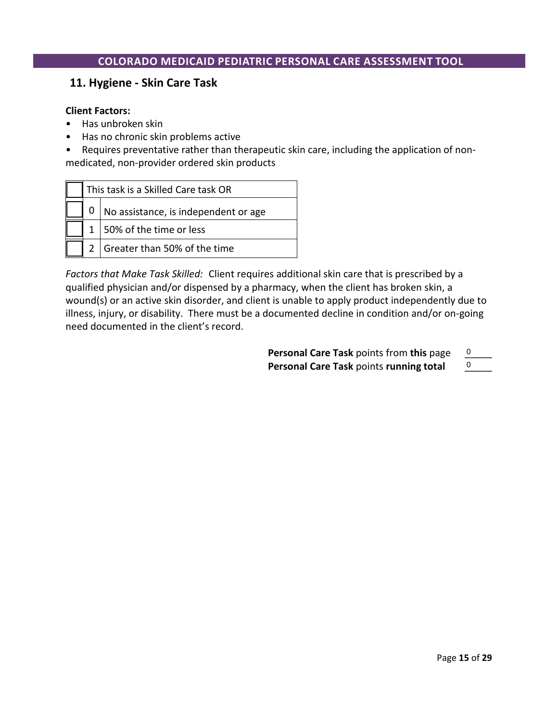## **11. Hygiene - Skin Care Task**

#### **Client Factors:**

- Has unbroken skin
- Has no chronic skin problems active

• Requires preventative rather than therapeutic skin care, including the application of nonmedicated, non-provider ordered skin products

| This task is a Skilled Care task OR |                                      |  |
|-------------------------------------|--------------------------------------|--|
|                                     | No assistance, is independent or age |  |
|                                     | 1   50% of the time or less          |  |
|                                     | 2 Greater than 50% of the time       |  |

*Factors that Make Task Skilled:* Client requires additional skin care that is prescribed by a qualified physician and/or dispensed by a pharmacy, when the client has broken skin, a wound(s) or an active skin disorder, and client is unable to apply product independently due to illness, injury, or disability. There must be a documented decline in condition and/or on-going need documented in the client's record.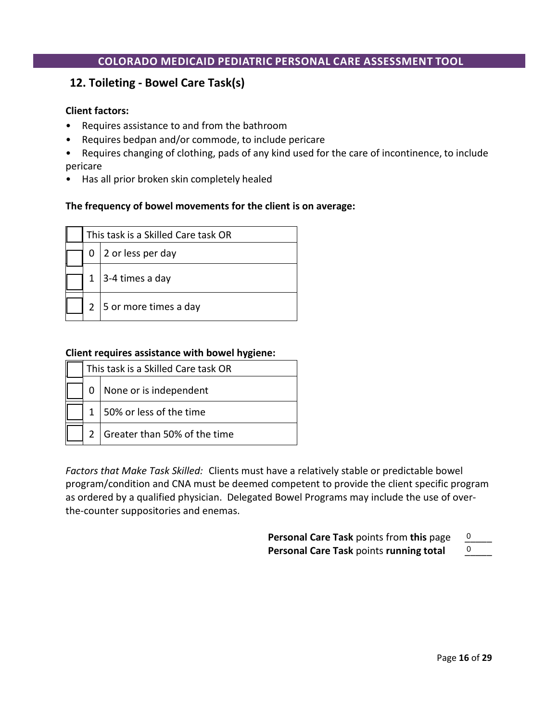# **12. Toileting - Bowel Care Task(s)**

#### **Client factors:**

- Requires assistance to and from the bathroom
- Requires bedpan and/or commode, to include pericare
- Requires changing of clothing, pads of any kind used for the care of incontinence, to include pericare
- Has all prior broken skin completely healed

#### **The frequency of bowel movements for the client is on average:**

| This task is a Skilled Care task OR |                       |
|-------------------------------------|-----------------------|
|                                     | 2 or less per day     |
|                                     | 3-4 times a day       |
|                                     | 5 or more times a day |

#### **Client requires assistance with bowel hygiene:**

| This task is a Skilled Care task OR |                              |
|-------------------------------------|------------------------------|
|                                     | None or is independent       |
|                                     | 1   50% or less of the time  |
|                                     | Greater than 50% of the time |

*Factors that Make Task Skilled:* Clients must have a relatively stable or predictable bowel program/condition and CNA must be deemed competent to provide the client specific program as ordered by a qualified physician. Delegated Bowel Programs may include the use of overthe-counter suppositories and enemas.

| Personal Care Task points from this page       |  |  |
|------------------------------------------------|--|--|
| <b>Personal Care Task points running total</b> |  |  |

**Personal Care Task** points **running total** \_\_\_\_\_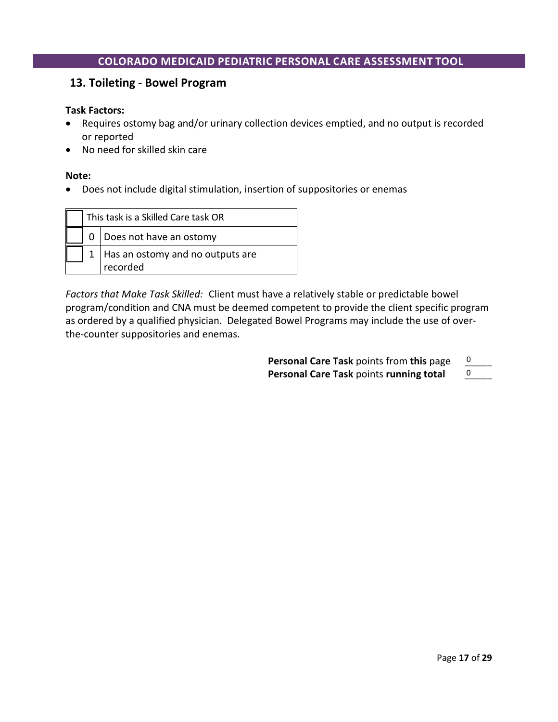### **13. Toileting - Bowel Program**

#### **Task Factors:**

- Requires ostomy bag and/or urinary collection devices emptied, and no output is recorded or reported
- No need for skilled skin care

#### **Note:**

• Does not include digital stimulation, insertion of suppositories or enemas

|  | This task is a Skilled Care task OR |
|--|-------------------------------------|
|  | Does not have an ostomy             |
|  | Has an ostomy and no outputs are    |
|  | recorded                            |

*Factors that Make Task Skilled:* Client must have a relatively stable or predictable bowel program/condition and CNA must be deemed competent to provide the client specific program as ordered by a qualified physician. Delegated Bowel Programs may include the use of overthe-counter suppositories and enemas.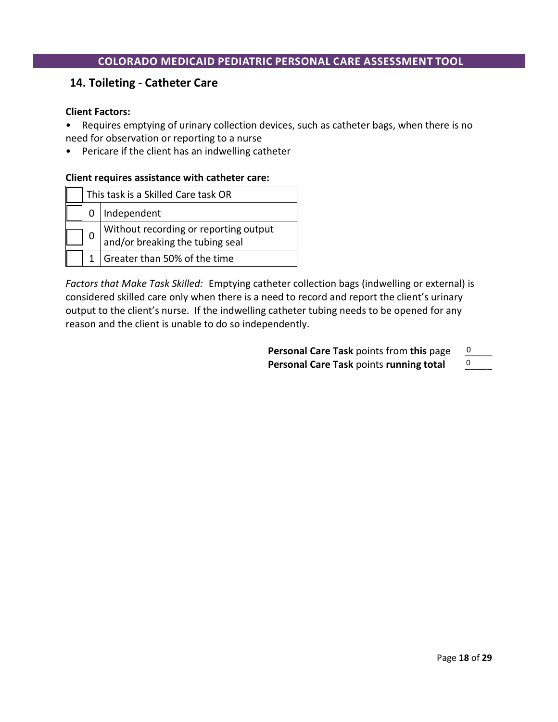### **14. Toileting - Catheter Care**

#### **Client Factors:**

- Requires emptying of urinary collection devices, such as catheter bags, when there is no need for observation or reporting to a nurse
- Pericare if the client has an indwelling catheter

#### **Client requires assistance with catheter care:**

|   | This task is a Skilled Care task OR                                      |
|---|--------------------------------------------------------------------------|
|   | 0   Independent                                                          |
| 0 | Without recording or reporting output<br>and/or breaking the tubing seal |
|   | Greater than 50% of the time                                             |

*Factors that Make Task Skilled:* Emptying catheter collection bags (indwelling or external) is considered skilled care only when there is a need to record and report the client's urinary output to the client's nurse. If the indwelling catheter tubing needs to be opened for any reason and the client is unable to do so independently.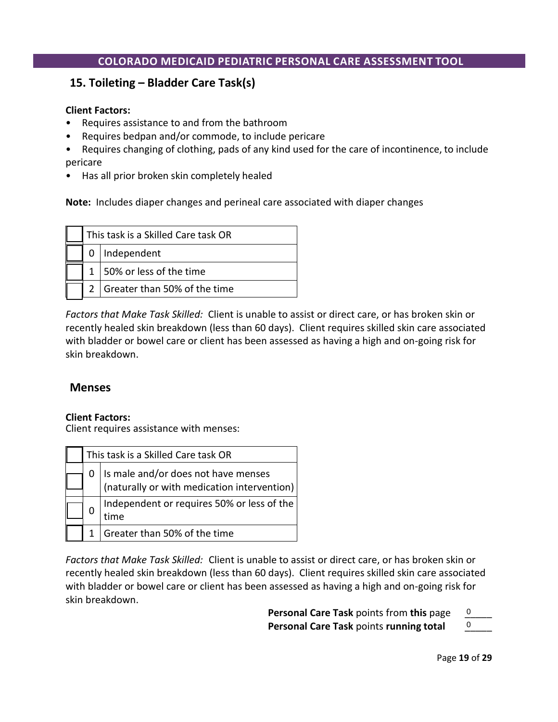# **15. Toileting – Bladder Care Task(s)**

#### **Client Factors:**

- Requires assistance to and from the bathroom
- Requires bedpan and/or commode, to include pericare
- Requires changing of clothing, pads of any kind used for the care of incontinence, to include pericare
- Has all prior broken skin completely healed

**Note:** Includes diaper changes and perineal care associated with diaper changes

|  | This task is a Skilled Care task OR |
|--|-------------------------------------|
|  | $0$   Independent                   |
|  | $1 \mid 50\%$ or less of the time   |
|  | Greater than 50% of the time        |

*Factors that Make Task Skilled:* Client is unable to assist or direct care, or has broken skin or recently healed skin breakdown (less than 60 days). Client requires skilled skin care associated with bladder or bowel care or client has been assessed as having a high and on-going risk for skin breakdown.

# **Menses**

#### **Client Factors:**

Client requires assistance with menses:

|  | This task is a Skilled Care task OR                                                |
|--|------------------------------------------------------------------------------------|
|  | Is male and/or does not have menses<br>(naturally or with medication intervention) |
|  | Independent or requires 50% or less of the<br>time                                 |
|  | Greater than 50% of the time                                                       |

*Factors that Make Task Skilled:* Client is unable to assist or direct care, or has broken skin or recently healed skin breakdown (less than 60 days). Client requires skilled skin care associated with bladder or bowel care or client has been assessed as having a high and on-going risk for skin breakdown.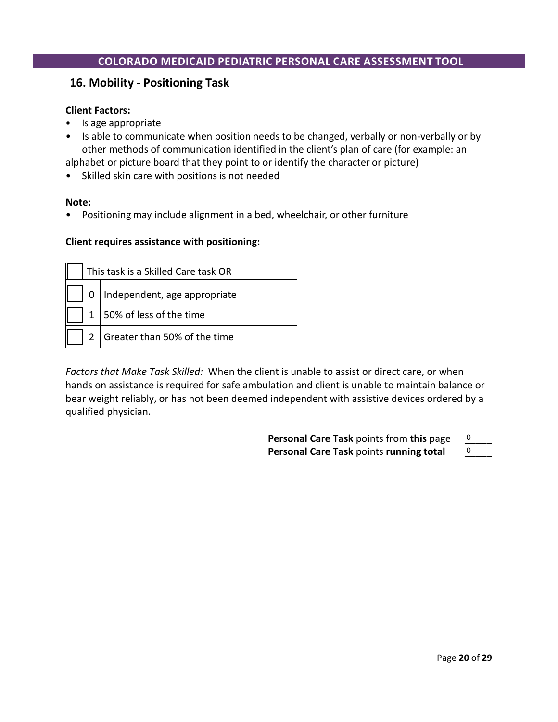## **16. Mobility - Positioning Task**

#### **Client Factors:**

- Is age appropriate
- Is able to communicate when position needs to be changed, verbally or non-verbally or by other methods of communication identified in the client's plan of care (for example: an

alphabet or picture board that they point to or identify the character or picture)

• Skilled skin care with positions is not needed

#### **Note:**

• Positioning may include alignment in a bed, wheelchair, or other furniture

#### **Client requires assistance with positioning:**

|  | This task is a Skilled Care task OR |
|--|-------------------------------------|
|  | Independent, age appropriate        |
|  | 1   50% of less of the time         |
|  | Greater than 50% of the time        |

*Factors that Make Task Skilled:* When the client is unable to assist or direct care, or when hands on assistance is required for safe ambulation and client is unable to maintain balance or bear weight reliably, or has not been deemed independent with assistive devices ordered by a qualified physician.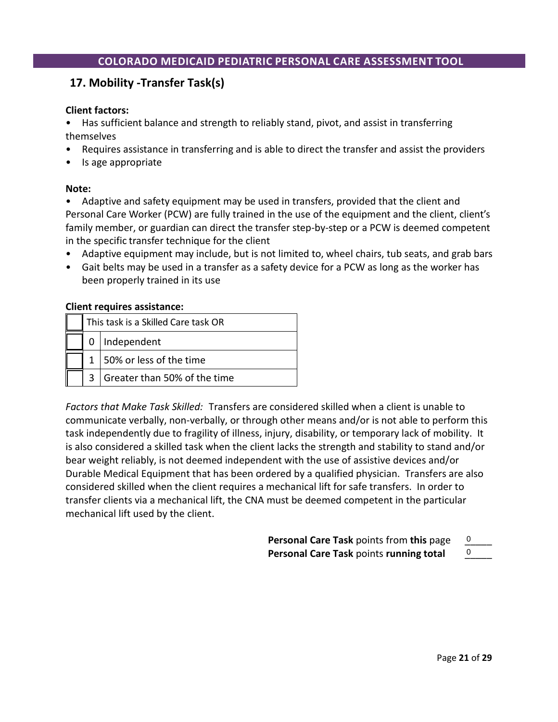# **17. Mobility -Transfer Task(s)**

#### **Client factors:**

• Has sufficient balance and strength to reliably stand, pivot, and assist in transferring themselves

- Requires assistance in transferring and is able to direct the transfer and assist the providers
- Is age appropriate

#### **Note:**

• Adaptive and safety equipment may be used in transfers, provided that the client and Personal Care Worker (PCW) are fully trained in the use of the equipment and the client, client's family member, or guardian can direct the transfer step-by-step or a PCW is deemed competent in the specific transfer technique for the client

- Adaptive equipment may include, but is not limited to, wheel chairs, tub seats, and grab bars
- Gait belts may be used in a transfer as a safety device for a PCW as long as the worker has been properly trained in its use

#### **Client requires assistance:**

|  | This task is a Skilled Care task OR |
|--|-------------------------------------|
|  | Independent                         |
|  | 1   50% or less of the time         |
|  | Greater than 50% of the time        |

*Factors that Make Task Skilled:* Transfers are considered skilled when a client is unable to communicate verbally, non-verbally, or through other means and/or is not able to perform this task independently due to fragility of illness, injury, disability, or temporary lack of mobility. It is also considered a skilled task when the client lacks the strength and stability to stand and/or bear weight reliably, is not deemed independent with the use of assistive devices and/or Durable Medical Equipment that has been ordered by a qualified physician. Transfers are also considered skilled when the client requires a mechanical lift for safe transfers. In order to transfer clients via a mechanical lift, the CNA must be deemed competent in the particular mechanical lift used by the client.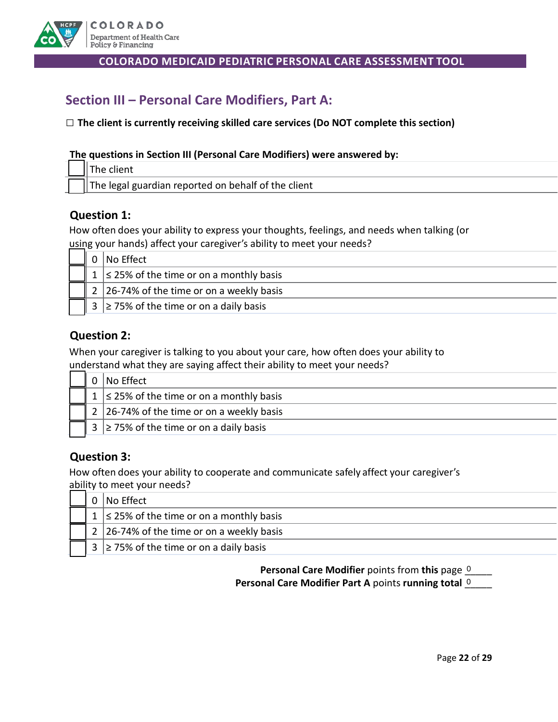

# **Section III – Personal Care Modifiers, Part A:**

#### **□ The client is currently receiving skilled care services (Do NOT complete this section)**

#### **The questions in Section III (Personal Care Modifiers) were answered by:**

| - | i guardian reported on behalf of $\prime$<br>the client '<br>ادەما<br>$\sim$ |
|---|------------------------------------------------------------------------------|

#### **Question 1:**

How often does your ability to express your thoughts, feelings, and needs when talking (or using your hands) affect your caregiver's ability to meet your needs?

|  | No Effect                                      |
|--|------------------------------------------------|
|  | $1 \le 25\%$ of the time or on a monthly basis |
|  | 2 26-74% of the time or on a weekly basis      |
|  | $3 \ge 75\%$ of the time or on a daily basis   |

### **Question 2:**

When your caregiver is talking to you about your care, how often does your ability to understand what they are saying affect their ability to meet your needs?

|  | No Effect                                      |
|--|------------------------------------------------|
|  | $1 \le 25\%$ of the time or on a monthly basis |
|  | 2   26-74% of the time or on a weekly basis    |
|  | $3 \ge 75\%$ of the time or on a daily basis   |

# **Question 3:**

How often does your ability to cooperate and communicate safely affect your caregiver's ability to meet your needs?

|  | $0 \mid$ No Effect                                       |
|--|----------------------------------------------------------|
|  | 1 $\leq$ 25% of the time or on a monthly basis           |
|  | 2   26-74% of the time or on a weekly basis              |
|  | $\frac{1}{3}$ $\geq$ 75% of the time or on a daily basis |

**Personal Care Modifier** points from this page **0 Personal Care Modifier Part A points running total 0 League 2016**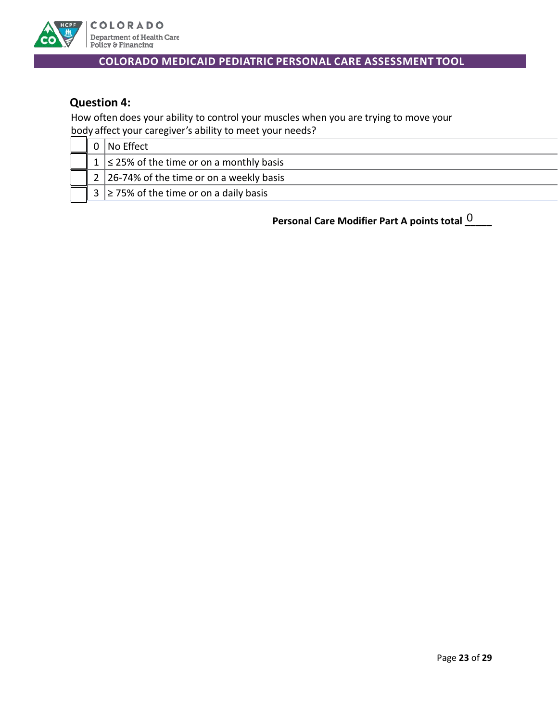

# **Question 4:**

How often does your ability to control your muscles when you are trying to move your body affect your caregiver's ability to meet your needs?

|  | 0 No Effect                                    |
|--|------------------------------------------------|
|  | $1 \le 25\%$ of the time or on a monthly basis |
|  | 2 26-74% of the time or on a weekly basis      |
|  | $3 \ge 75\%$ of the time or on a daily basis   |

**Personal Care Modifier Part A points total \_\_\_\_\_** 0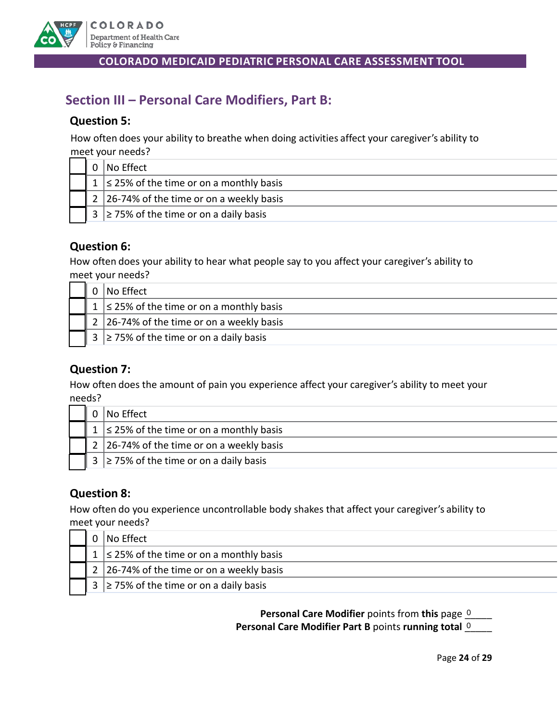

# **Section III – Personal Care Modifiers, Part B:**

## **Question 5:**

How often does your ability to breathe when doing activities affect your caregiver's ability to meet your needs?

|  | <b>No Effect</b>                                             |  |  |  |  |  |  |
|--|--------------------------------------------------------------|--|--|--|--|--|--|
|  | $1 \le 25\%$ of the time or on a monthly basis               |  |  |  |  |  |  |
|  | $\mid$ 2 $\mid$ 26-74% of the time or on a weekly basis      |  |  |  |  |  |  |
|  | $\vert$ 3 $\vert$ $\geq$ 75% of the time or on a daily basis |  |  |  |  |  |  |

# **Question 6:**

How often does your ability to hear what people say to you affect your caregiver's ability to meet your needs?

|  | I No Effect                                    |  |  |  |  |  |
|--|------------------------------------------------|--|--|--|--|--|
|  | $1 \le 25\%$ of the time or on a monthly basis |  |  |  |  |  |
|  | 2   26-74% of the time or on a weekly basis    |  |  |  |  |  |
|  | $3 \ge 75\%$ of the time or on a daily basis   |  |  |  |  |  |

# **Question 7:**

How often does the amount of pain you experience affect your caregiver's ability to meet your needs?

|  | <b>No Effect</b>                               |  |  |  |  |  |
|--|------------------------------------------------|--|--|--|--|--|
|  | $1 \le 25\%$ of the time or on a monthly basis |  |  |  |  |  |
|  | 2 26-74% of the time or on a weekly basis      |  |  |  |  |  |
|  | $3 \ge 75\%$ of the time or on a daily basis   |  |  |  |  |  |

# **Question 8:**

How often do you experience uncontrollable body shakes that affect your caregiver's ability to meet your needs?

|  | No Effect                                      |  |  |  |  |  |
|--|------------------------------------------------|--|--|--|--|--|
|  | $1 \le 25\%$ of the time or on a monthly basis |  |  |  |  |  |
|  | 2   26-74% of the time or on a weekly basis    |  |  |  |  |  |
|  | $3 \ge 75\%$ of the time or on a daily basis   |  |  |  |  |  |

**Personal Care Modifier** points from this page **0 Personal Care Modifier Part B** points running total **0**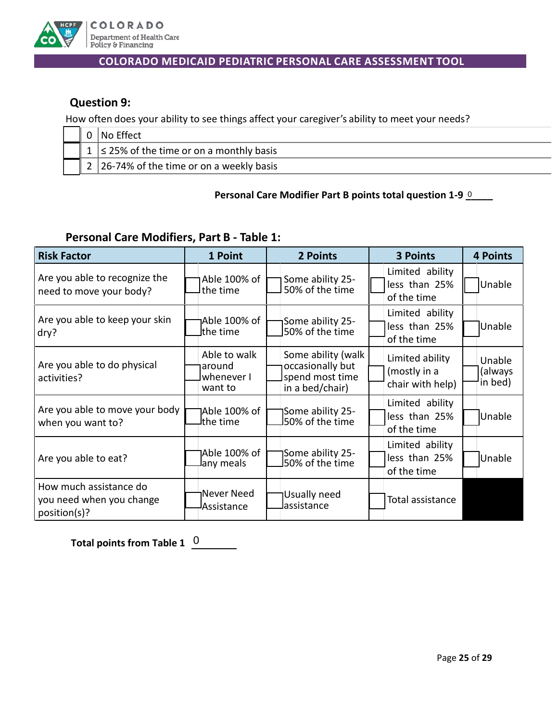

# **Question 9:**

How often does your ability to see things affect your caregiver's ability to meet your needs?

|  | No Effect                                      |  |  |  |  |  |
|--|------------------------------------------------|--|--|--|--|--|
|  | 1 $\leq$ 25% of the time or on a monthly basis |  |  |  |  |  |
|  | 2 26-74% of the time or on a weekly basis      |  |  |  |  |  |

#### Personal Care Modifier Part B points total question 1-9 **0** \_\_\_\_

# **Personal Care Modifiers, Part B - Table 1:**

| <b>Risk Factor</b>                                                 | 1 Point                                         | 2 Points                                                                     | <b>3 Points</b>                                     | <b>4 Points</b>              |
|--------------------------------------------------------------------|-------------------------------------------------|------------------------------------------------------------------------------|-----------------------------------------------------|------------------------------|
| Are you able to recognize the<br>need to move your body?           | Able 100% of<br>lthe time                       | Some ability 25-<br>50% of the time                                          | Limited ability<br>less than 25%<br>of the time     | Unable                       |
| Are you able to keep your skin<br>dry?                             | Able 100% of<br>lthe time                       | Some ability 25-<br>150% of the time                                         | Limited ability<br>less than 25%<br>of the time     | Unable                       |
| Are you able to do physical<br>activities?                         | Able to walk<br>around<br>whenever I<br>want to | Some ability (walk<br>occasionally but<br>spend most time<br>in a bed/chair) | Limited ability<br>(mostly in a<br>chair with help) | Unable<br>(always<br>in bed) |
| Are you able to move your body<br>when you want to?                | 1Able 100% of<br>lthe time                      | 1Some ability 25-<br>J50% of the time                                        | Limited ability<br>less than 25%<br>of the time     | Unable                       |
| Are you able to eat?                                               | 1Able 100% of<br>lany meals                     | Some ability 25-<br>J50% of the time                                         | Limited ability<br>less than 25%<br>of the time     | Unable                       |
| How much assistance do<br>you need when you change<br>position(s)? | Never Need<br>Assistance                        | Usually need<br>Jassistance                                                  | Total assistance                                    |                              |

**Total points from Table 1** 0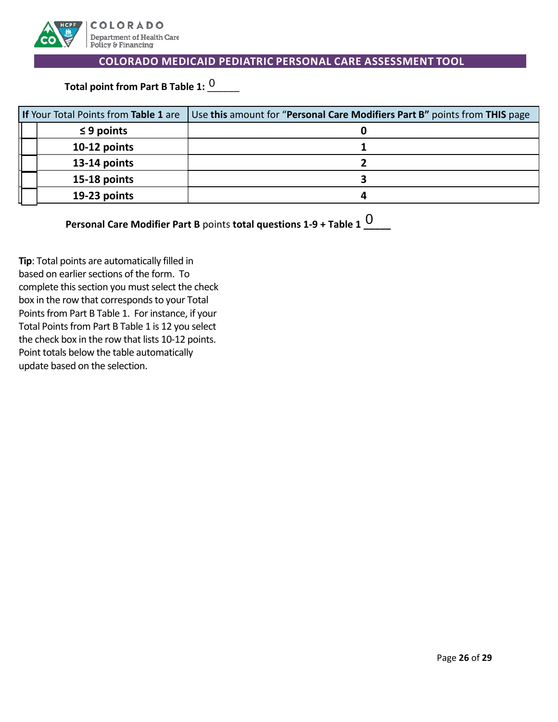

Total point from Part B Table 1: <sup>0</sup>\_\_\_\_\_

| If Your Total Points from Table 1 are | Use this amount for "Personal Care Modifiers Part B" points from THIS page |  |
|---------------------------------------|----------------------------------------------------------------------------|--|
| $\leq$ 9 points                       |                                                                            |  |
| 10-12 points                          |                                                                            |  |
| 13-14 points                          |                                                                            |  |
| 15-18 points                          |                                                                            |  |
| 19-23 points                          |                                                                            |  |

| <b>Personal Care Modifier Part B</b> points total questions $1-9 +$ Table $10$ |  |
|--------------------------------------------------------------------------------|--|
|                                                                                |  |

**Tip**: Total points are automatically filled in based on earlier sections of the form. To complete this section you must select the check box in the row that corresponds to your Total Points from Part B Table 1. For instance, if your Total Points from Part B Table 1 is 12 you select the check box in the row that lists 10-12 points. Point totals below the table automatically update based on the selection.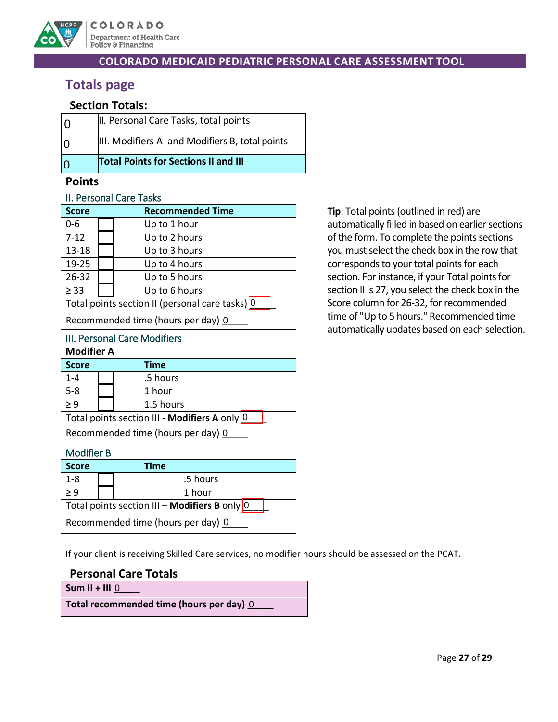

# **Totals page**

# **Section Totals:**

| 10 | II. Personal Care Tasks, total points          |
|----|------------------------------------------------|
| IΩ | III. Modifiers A and Modifiers B, total points |
| 10 | <b>Total Points for Sections II and III</b>    |

## **Points**

#### II. Personal Care Tasks

| <b>Score</b>                                    |  |  | <b>Recommended Time</b> |  |  |
|-------------------------------------------------|--|--|-------------------------|--|--|
| 0-6                                             |  |  | Up to 1 hour            |  |  |
| $7 - 12$                                        |  |  | Up to 2 hours           |  |  |
| 13-18                                           |  |  | Up to 3 hours           |  |  |
| 19-25                                           |  |  | Up to 4 hours           |  |  |
| 26-32                                           |  |  | Up to 5 hours           |  |  |
| $\geq$ 33                                       |  |  | Up to 6 hours           |  |  |
| Total points section II (personal care tasks) 0 |  |  |                         |  |  |
| Recommended time (hours per day) 0              |  |  |                         |  |  |

#### III. Personal Care Modifiers **Modifier A**

| <b>Score</b>                                  |  |  | <b>Time</b> |  |
|-----------------------------------------------|--|--|-------------|--|
| $1 - 4$                                       |  |  | .5 hours    |  |
| $5 - 8$                                       |  |  | 1 hour      |  |
| > 9                                           |  |  | 1.5 hours   |  |
| Total points section III - Modifiers A only 0 |  |  |             |  |
| Recommended time (hours per day) 0            |  |  |             |  |

## Modifier B

| <b>Score</b>                                      |  |  | Time     |  |
|---------------------------------------------------|--|--|----------|--|
| $1 - 8$                                           |  |  | .5 hours |  |
| > 9                                               |  |  | 1 hour   |  |
| Total points section III - Modifiers B only $ 0 $ |  |  |          |  |
| Recommended time (hours per day) 0                |  |  |          |  |

If your client is receiving Skilled Care services, no modifier hours should be assessed on the PCAT.

# **Personal Care Totals**

**Sum II + III \_\_\_\_\_** 0

**Total recommended time (hours per day) \_\_\_\_\_** 0

**Tip**: Total points (outlined in red) are automatically filled in based on earlier sections of the form. To complete the points sections you must select the check box in the row that corresponds to your total points for each section. For instance, if your Total points for section II is 27, you select the check box in the Score column for 26-32, for recommended time of "Up to 5 hours." Recommended time automatically updates based on each selection.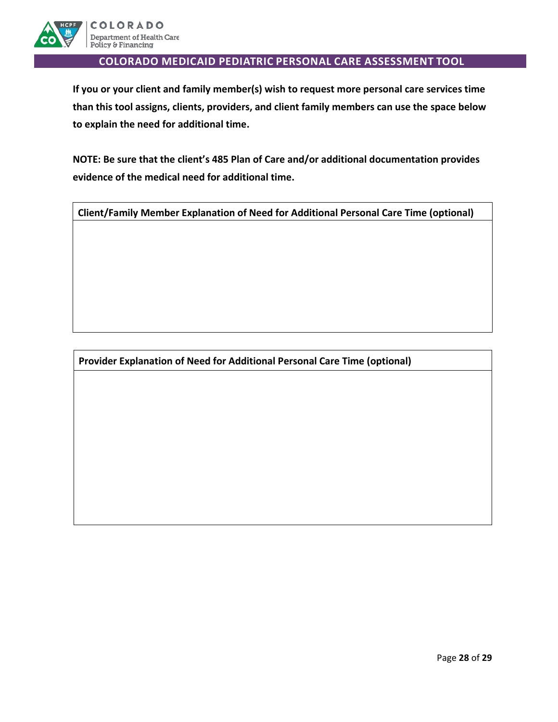

**If you or your client and family member(s) wish to request more personal care services time than this tool assigns, clients, providers, and client family members can use the space below to explain the need for additional time.**

**NOTE: Be sure that the client's 485 Plan of Care and/or additional documentation provides evidence of the medical need for additional time.** 

**Client/Family Member Explanation of Need for Additional Personal Care Time (optional)**

**Provider Explanation of Need for Additional Personal Care Time (optional)**